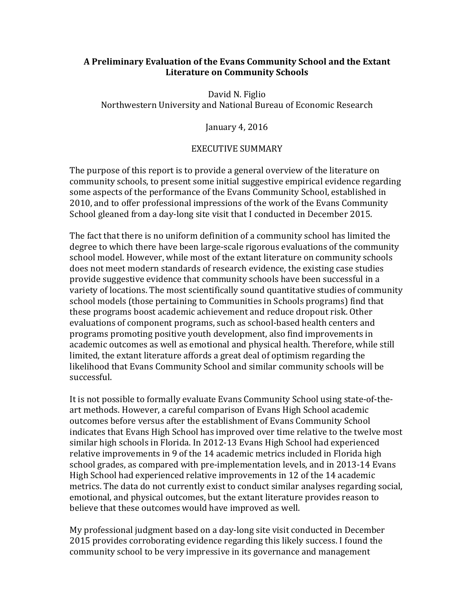### **A** Preliminary Evaluation of the Evans Community School and the Extant **Literature on Community Schools**

David N. Figlio Northwestern University and National Bureau of Economic Research

January 4, 2016

#### EXECUTIVE SUMMARY

The purpose of this report is to provide a general overview of the literature on community schools, to present some initial suggestive empirical evidence regarding some aspects of the performance of the Evans Community School, established in 2010, and to offer professional impressions of the work of the Evans Community School gleaned from a day-long site visit that I conducted in December 2015.

The fact that there is no uniform definition of a community school has limited the degree to which there have been large-scale rigorous evaluations of the community school model. However, while most of the extant literature on community schools does not meet modern standards of research evidence, the existing case studies provide suggestive evidence that community schools have been successful in a variety of locations. The most scientifically sound quantitative studies of community school models (those pertaining to Communities in Schools programs) find that these programs boost academic achievement and reduce dropout risk. Other evaluations of component programs, such as school-based health centers and programs promoting positive youth development, also find improvements in academic outcomes as well as emotional and physical health. Therefore, while still limited, the extant literature affords a great deal of optimism regarding the likelihood that Evans Community School and similar community schools will be successful.

It is not possible to formally evaluate Evans Community School using state-of-theart methods. However, a careful comparison of Evans High School academic outcomes before versus after the establishment of Evans Community School indicates that Evans High School has improved over time relative to the twelve most similar high schools in Florida. In 2012-13 Evans High School had experienced relative improvements in 9 of the 14 academic metrics included in Florida high school grades, as compared with pre-implementation levels, and in 2013-14 Evans High School had experienced relative improvements in 12 of the 14 academic metrics. The data do not currently exist to conduct similar analyses regarding social, emotional, and physical outcomes, but the extant literature provides reason to believe that these outcomes would have improved as well.

My professional judgment based on a day-long site visit conducted in December 2015 provides corroborating evidence regarding this likely success. I found the community school to be very impressive in its governance and management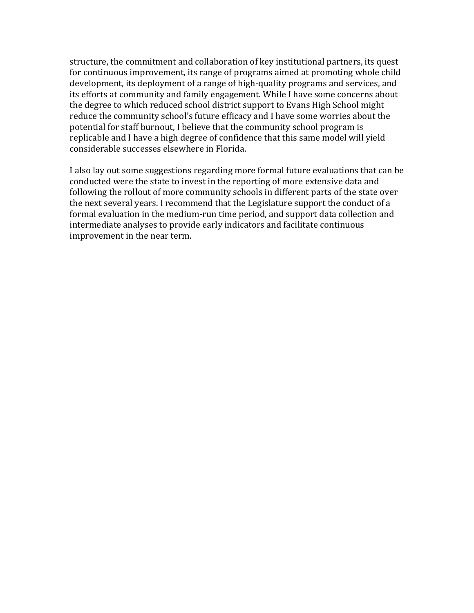structure, the commitment and collaboration of key institutional partners, its quest for continuous improvement, its range of programs aimed at promoting whole child development, its deployment of a range of high-quality programs and services, and its efforts at community and family engagement. While I have some concerns about the degree to which reduced school district support to Evans High School might reduce the community school's future efficacy and I have some worries about the potential for staff burnout, I believe that the community school program is replicable and I have a high degree of confidence that this same model will yield considerable successes elsewhere in Florida.

I also lay out some suggestions regarding more formal future evaluations that can be conducted were the state to invest in the reporting of more extensive data and following the rollout of more community schools in different parts of the state over the next several years. I recommend that the Legislature support the conduct of a formal evaluation in the medium-run time period, and support data collection and intermediate analyses to provide early indicators and facilitate continuous improvement in the near term.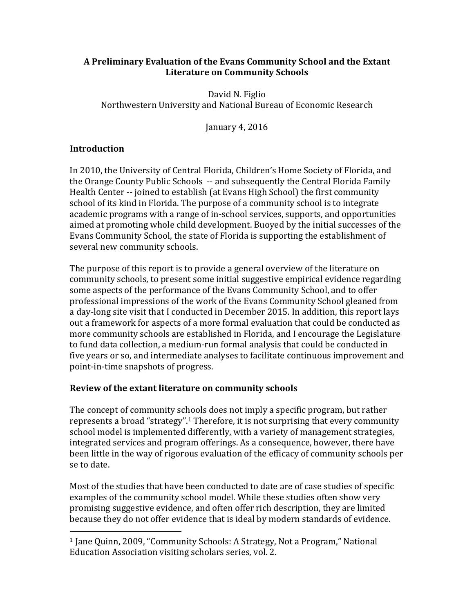### **A** Preliminary Evaluation of the Evans Community School and the Extant **Literature on Community Schools**

David N. Figlio Northwestern University and National Bureau of Economic Research

January 4, 2016

# **Introduction**

In 2010, the University of Central Florida, Children's Home Society of Florida, and the Orange County Public Schools -- and subsequently the Central Florida Family Health Center -- joined to establish (at Evans High School) the first community school of its kind in Florida. The purpose of a community school is to integrate academic programs with a range of in-school services, supports, and opportunities aimed at promoting whole child development. Buoyed by the initial successes of the Evans Community School, the state of Florida is supporting the establishment of several new community schools.

The purpose of this report is to provide a general overview of the literature on community schools, to present some initial suggestive empirical evidence regarding some aspects of the performance of the Evans Community School, and to offer professional impressions of the work of the Evans Community School gleaned from a day-long site visit that I conducted in December 2015. In addition, this report lays out a framework for aspects of a more formal evaluation that could be conducted as more community schools are established in Florida, and I encourage the Legislature to fund data collection, a medium-run formal analysis that could be conducted in five years or so, and intermediate analyses to facilitate continuous improvement and point-in-time snapshots of progress.

### **Review of the extant literature on community schools**

 

The concept of community schools does not imply a specific program, but rather represents a broad "strategy".<sup>1</sup> Therefore, it is not surprising that every community school model is implemented differently, with a variety of management strategies, integrated services and program offerings. As a consequence, however, there have been little in the way of rigorous evaluation of the efficacy of community schools per se to date.

Most of the studies that have been conducted to date are of case studies of specific examples of the community school model. While these studies often show very promising suggestive evidence, and often offer rich description, they are limited because they do not offer evidence that is ideal by modern standards of evidence.

<sup>&</sup>lt;sup>1</sup> Jane Quinn, 2009, "Community Schools: A Strategy, Not a Program," National Education Association visiting scholars series, vol. 2.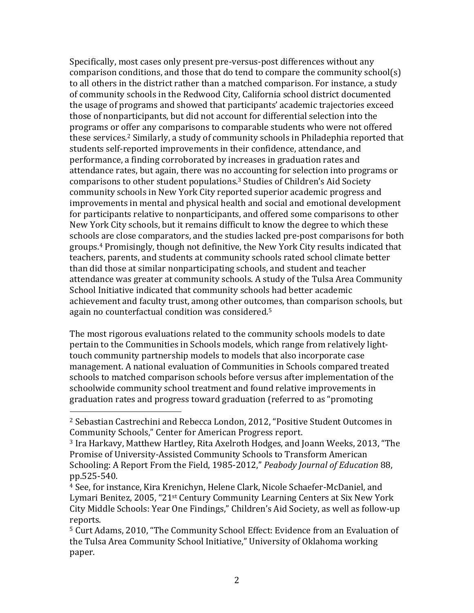Specifically, most cases only present pre-versus-post differences without any comparison conditions, and those that do tend to compare the community school(s) to all others in the district rather than a matched comparison. For instance, a study of community schools in the Redwood City, California school district documented the usage of programs and showed that participants' academic trajectories exceed those of nonparticipants, but did not account for differential selection into the programs or offer any comparisons to comparable students who were not offered these services.<sup>2</sup> Similarly, a study of community schools in Philadephia reported that students self-reported improvements in their confidence, attendance, and performance, a finding corroborated by increases in graduation rates and attendance rates, but again, there was no accounting for selection into programs or comparisons to other student populations.<sup>3</sup> Studies of Children's Aid Society community schools in New York City reported superior academic progress and improvements in mental and physical health and social and emotional development for participants relative to nonparticipants, and offered some comparisons to other New York City schools, but it remains difficult to know the degree to which these schools are close comparators, and the studies lacked pre-post comparisons for both groups.<sup>4</sup> Promisingly, though not definitive, the New York City results indicated that teachers, parents, and students at community schools rated school climate better than did those at similar nonparticipating schools, and student and teacher attendance was greater at community schools. A study of the Tulsa Area Community School Initiative indicated that community schools had better academic achievement and faculty trust, among other outcomes, than comparison schools, but again no counterfactual condition was considered.<sup>5</sup>

The most rigorous evaluations related to the community schools models to date pertain to the Communities in Schools models, which range from relatively lighttouch community partnership models to models that also incorporate case management. A national evaluation of Communities in Schools compared treated schools to matched comparison schools before versus after implementation of the schoolwide community school treatment and found relative improvements in graduation rates and progress toward graduation (referred to as "promoting

 

<sup>&</sup>lt;sup>2</sup> Sebastian Castrechini and Rebecca London, 2012, "Positive Student Outcomes in Community Schools," Center for American Progress report.

<sup>&</sup>lt;sup>3</sup> Ira Harkavy, Matthew Hartley, Rita Axelroth Hodges, and Joann Weeks, 2013, "The Promise of University-Assisted Community Schools to Transform American Schooling: A Report From the Field, 1985-2012," *Peabody Journal of Education* 88, pp.525-540.

<sup>&</sup>lt;sup>4</sup> See, for instance, Kira Krenichyn, Helene Clark, Nicole Schaefer-McDaniel, and Lymari Benitez, 2005, "21<sup>st</sup> Century Community Learning Centers at Six New York City Middle Schools: Year One Findings," Children's Aid Society, as well as follow-up reports.

<sup>&</sup>lt;sup>5</sup> Curt Adams, 2010, "The Community School Effect: Evidence from an Evaluation of the Tulsa Area Community School Initiative," University of Oklahoma working paper.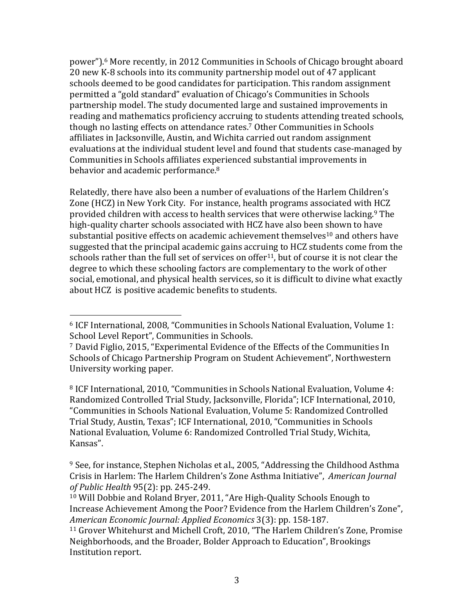power").<sup>6</sup> More recently, in 2012 Communities in Schools of Chicago brought aboard 20 new K-8 schools into its community partnership model out of 47 applicant schools deemed to be good candidates for participation. This random assignment permitted a "gold standard" evaluation of Chicago's Communities in Schools partnership model. The study documented large and sustained improvements in reading and mathematics proficiency accruing to students attending treated schools, though no lasting effects on attendance rates.<sup>7</sup> Other Communities in Schools affiliates in Jacksonville, Austin, and Wichita carried out random assignment evaluations at the individual student level and found that students case-managed by Communities in Schools affiliates experienced substantial improvements in behavior and academic performance.<sup>8</sup>

Relatedly, there have also been a number of evaluations of the Harlem Children's Zone (HCZ) in New York City. For instance, health programs associated with HCZ provided children with access to health services that were otherwise lacking.<sup>9</sup> The high-quality charter schools associated with HCZ have also been shown to have substantial positive effects on academic achievement themselves<sup>10</sup> and others have suggested that the principal academic gains accruing to HCZ students come from the schools rather than the full set of services on offer<sup>11</sup>, but of course it is not clear the degree to which these schooling factors are complementary to the work of other social, emotional, and physical health services, so it is difficult to divine what exactly about HCZ is positive academic benefits to students.

 

<sup>8</sup> ICF International, 2010, "Communities in Schools National Evaluation, Volume 4: Randomized Controlled Trial Study, Jacksonville, Florida"; ICF International, 2010, "Communities in Schools National Evaluation, Volume 5: Randomized Controlled Trial Study, Austin, Texas"; ICF International, 2010, "Communities in Schools National Evaluation, Volume 6: Randomized Controlled Trial Study, Wichita, Kansas". 

 $6$  ICF International, 2008, "Communities in Schools National Evaluation, Volume 1: School Level Report", Communities in Schools.

 $7$  David Figlio, 2015, "Experimental Evidence of the Effects of the Communities In Schools of Chicago Partnership Program on Student Achievement", Northwestern University working paper.

 $9$  See, for instance, Stephen Nicholas et al., 2005, "Addressing the Childhood Asthma Crisis in Harlem: The Harlem Children's Zone Asthma Initiative", American Journal *of Public Health* 95(2): pp. 245-249.

<sup>&</sup>lt;sup>10</sup> Will Dobbie and Roland Bryer, 2011, "Are High-Quality Schools Enough to Increase Achievement Among the Poor? Evidence from the Harlem Children's Zone", *American Economic Journal: Applied Economics* 3(3): pp. 158-187.

<sup>&</sup>lt;sup>11</sup> Grover Whitehurst and Michell Croft, 2010, "The Harlem Children's Zone, Promise Neighborhoods, and the Broader, Bolder Approach to Education", Brookings Institution report.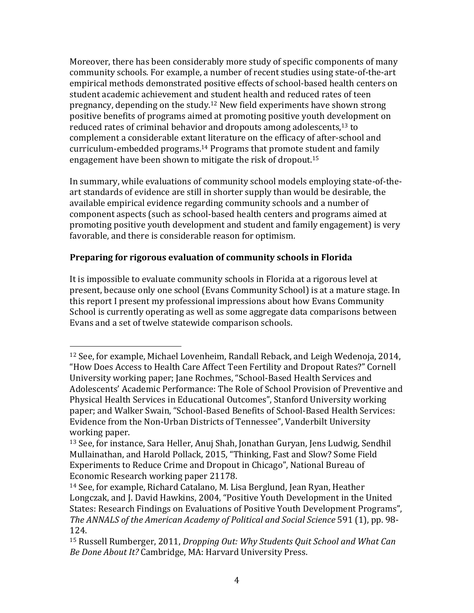Moreover, there has been considerably more study of specific components of many community schools. For example, a number of recent studies using state-of-the-art empirical methods demonstrated positive effects of school-based health centers on student academic achievement and student health and reduced rates of teen pregnancy, depending on the study.<sup>12</sup> New field experiments have shown strong positive benefits of programs aimed at promoting positive youth development on reduced rates of criminal behavior and dropouts among adolescents,<sup>13</sup> to complement a considerable extant literature on the efficacy of after-school and curriculum-embedded programs.<sup>14</sup> Programs that promote student and family engagement have been shown to mitigate the risk of dropout.<sup>15</sup>

In summary, while evaluations of community school models employing state-of-theart standards of evidence are still in shorter supply than would be desirable, the available empirical evidence regarding community schools and a number of component aspects (such as school-based health centers and programs aimed at promoting positive youth development and student and family engagement) is very favorable, and there is considerable reason for optimism.

# **Preparing for rigorous evaluation of community schools in Florida**

 

It is impossible to evaluate community schools in Florida at a rigorous level at present, because only one school (Evans Community School) is at a mature stage. In this report I present my professional impressions about how Evans Community School is currently operating as well as some aggregate data comparisons between Evans and a set of twelve statewide comparison schools.

 $12$  See, for example, Michael Lovenheim, Randall Reback, and Leigh Wedenoja, 2014, "How Does Access to Health Care Affect Teen Fertility and Dropout Rates?" Cornell University working paper; Jane Rochmes, "School-Based Health Services and Adolescents' Academic Performance: The Role of School Provision of Preventive and Physical Health Services in Educational Outcomes", Stanford University working paper; and Walker Swain, "School-Based Benefits of School-Based Health Services: Evidence from the Non-Urban Districts of Tennessee", Vanderbilt University working paper.

<sup>&</sup>lt;sup>13</sup> See, for instance, Sara Heller, Anuj Shah, Jonathan Guryan, Jens Ludwig, Sendhil Mullainathan, and Harold Pollack, 2015, "Thinking, Fast and Slow? Some Field Experiments to Reduce Crime and Dropout in Chicago", National Bureau of Economic Research working paper 21178.

<sup>&</sup>lt;sup>14</sup> See, for example, Richard Catalano, M. Lisa Berglund, Jean Ryan, Heather Longczak, and J. David Hawkins, 2004, "Positive Youth Development in the United States: Research Findings on Evaluations of Positive Youth Development Programs", *The ANNALS of the American Academy of Political and Social Science* 591 (1), pp. 98-124.

<sup>&</sup>lt;sup>15</sup> Russell Rumberger, 2011, *Dropping Out: Why Students Quit School and What Can Be Done About It?* Cambridge, MA: Harvard University Press.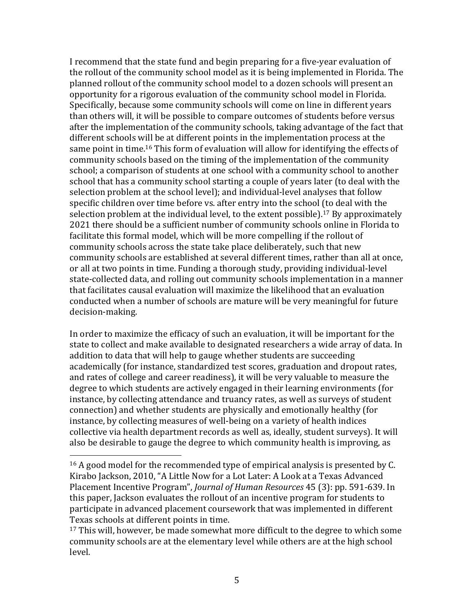I recommend that the state fund and begin preparing for a five-year evaluation of the rollout of the community school model as it is being implemented in Florida. The planned rollout of the community school model to a dozen schools will present an opportunity for a rigorous evaluation of the community school model in Florida. Specifically, because some community schools will come on line in different years than others will, it will be possible to compare outcomes of students before versus after the implementation of the community schools, taking advantage of the fact that different schools will be at different points in the implementation process at the same point in time.<sup>16</sup> This form of evaluation will allow for identifying the effects of community schools based on the timing of the implementation of the community school; a comparison of students at one school with a community school to another school that has a community school starting a couple of years later (to deal with the selection problem at the school level); and individual-level analyses that follow specific children over time before vs. after entry into the school (to deal with the selection problem at the individual level, to the extent possible).<sup>17</sup> By approximately 2021 there should be a sufficient number of community schools online in Florida to facilitate this formal model, which will be more compelling if the rollout of community schools across the state take place deliberately, such that new community schools are established at several different times, rather than all at once, or all at two points in time. Funding a thorough study, providing individual-level state-collected data, and rolling out community schools implementation in a manner that facilitates causal evaluation will maximize the likelihood that an evaluation conducted when a number of schools are mature will be very meaningful for future decision-making.

In order to maximize the efficacy of such an evaluation, it will be important for the state to collect and make available to designated researchers a wide array of data. In addition to data that will help to gauge whether students are succeeding academically (for instance, standardized test scores, graduation and dropout rates, and rates of college and career readiness), it will be very valuable to measure the degree to which students are actively engaged in their learning environments (for instance, by collecting attendance and truancy rates, as well as surveys of student connection) and whether students are physically and emotionally healthy (for instance, by collecting measures of well-being on a variety of health indices collective via health department records as well as, ideally, student surveys). It will also be desirable to gauge the degree to which community health is improving, as

 

 $16$  A good model for the recommended type of empirical analysis is presented by C. Kirabo Jackson, 2010, "A Little Now for a Lot Later: A Look at a Texas Advanced Placement Incentive Program", *Journal of Human Resources* 45 (3): pp. 591-639. In this paper, Jackson evaluates the rollout of an incentive program for students to participate in advanced placement coursework that was implemented in different Texas schools at different points in time.

 $17$  This will, however, be made somewhat more difficult to the degree to which some community schools are at the elementary level while others are at the high school level.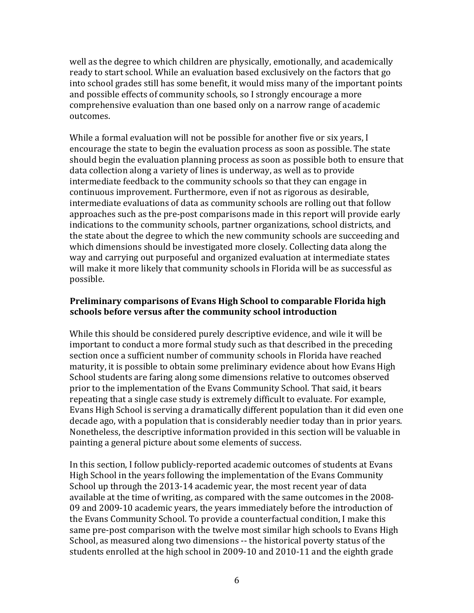well as the degree to which children are physically, emotionally, and academically ready to start school. While an evaluation based exclusively on the factors that go into school grades still has some benefit, it would miss many of the important points and possible effects of community schools, so I strongly encourage a more comprehensive evaluation than one based only on a narrow range of academic outcomes.

While a formal evaluation will not be possible for another five or six years, I encourage the state to begin the evaluation process as soon as possible. The state should begin the evaluation planning process as soon as possible both to ensure that data collection along a variety of lines is underway, as well as to provide intermediate feedback to the community schools so that they can engage in continuous improvement. Furthermore, even if not as rigorous as desirable, intermediate evaluations of data as community schools are rolling out that follow approaches such as the pre-post comparisons made in this report will provide early indications to the community schools, partner organizations, school districts, and the state about the degree to which the new community schools are succeeding and which dimensions should be investigated more closely. Collecting data along the way and carrying out purposeful and organized evaluation at intermediate states will make it more likely that community schools in Florida will be as successful as possible.

## **Preliminary comparisons of Evans High School to comparable Florida high** schools before versus after the community school introduction

While this should be considered purely descriptive evidence, and wile it will be important to conduct a more formal study such as that described in the preceding section once a sufficient number of community schools in Florida have reached maturity, it is possible to obtain some preliminary evidence about how Evans High School students are faring along some dimensions relative to outcomes observed prior to the implementation of the Evans Community School. That said, it bears repeating that a single case study is extremely difficult to evaluate. For example, Evans High School is serving a dramatically different population than it did even one decade ago, with a population that is considerably needier today than in prior years. Nonetheless, the descriptive information provided in this section will be valuable in painting a general picture about some elements of success.

In this section, I follow publicly-reported academic outcomes of students at Evans High School in the years following the implementation of the Evans Community School up through the  $2013-14$  academic year, the most recent year of data available at the time of writing, as compared with the same outcomes in the 2008-09 and 2009-10 academic vears, the vears immediately before the introduction of the Evans Community School. To provide a counterfactual condition, I make this same pre-post comparison with the twelve most similar high schools to Evans High School, as measured along two dimensions -- the historical poverty status of the students enrolled at the high school in 2009-10 and 2010-11 and the eighth grade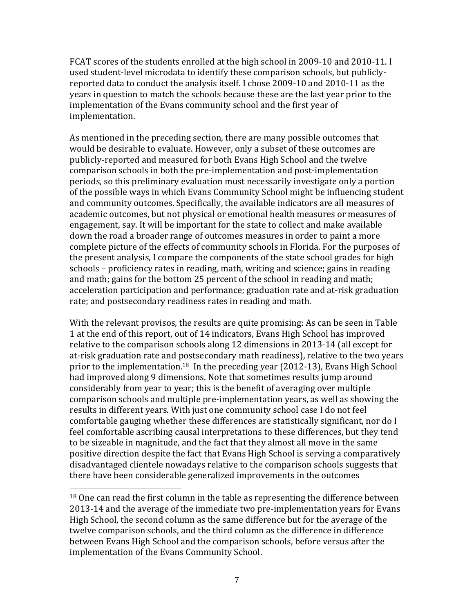FCAT scores of the students enrolled at the high school in 2009-10 and 2010-11. I used student-level microdata to identify these comparison schools, but publiclyreported data to conduct the analysis itself. I chose 2009-10 and 2010-11 as the years in question to match the schools because these are the last year prior to the implementation of the Evans community school and the first year of implementation. 

As mentioned in the preceding section, there are many possible outcomes that would be desirable to evaluate. However, only a subset of these outcomes are publicly-reported and measured for both Evans High School and the twelve comparison schools in both the pre-implementation and post-implementation periods, so this preliminary evaluation must necessarily investigate only a portion of the possible ways in which Evans Community School might be influencing student and community outcomes. Specifically, the available indicators are all measures of academic outcomes, but not physical or emotional health measures or measures of engagement, say. It will be important for the state to collect and make available down the road a broader range of outcomes measures in order to paint a more complete picture of the effects of community schools in Florida. For the purposes of the present analysis, I compare the components of the state school grades for high schools – proficiency rates in reading, math, writing and science; gains in reading and math; gains for the bottom 25 percent of the school in reading and math; acceleration participation and performance; graduation rate and at-risk graduation rate; and postsecondary readiness rates in reading and math.

With the relevant provisos, the results are quite promising: As can be seen in Table 1 at the end of this report, out of 14 indicators, Evans High School has improved relative to the comparison schools along 12 dimensions in 2013-14 (all except for at-risk graduation rate and postsecondary math readiness), relative to the two years prior to the implementation.<sup>18</sup> In the preceding year (2012-13), Evans High School had improved along 9 dimensions. Note that sometimes results jump around considerably from year to year; this is the benefit of averaging over multiple comparison schools and multiple pre-implementation years, as well as showing the results in different years. With just one community school case I do not feel comfortable gauging whether these differences are statistically significant, nor do I feel comfortable ascribing causal interpretations to these differences, but they tend to be sizeable in magnitude, and the fact that they almost all move in the same positive direction despite the fact that Evans High School is serving a comparatively disadvantaged clientele nowadays relative to the comparison schools suggests that there have been considerable generalized improvements in the outcomes

 

 $18$  One can read the first column in the table as representing the difference between 2013-14 and the average of the immediate two pre-implementation years for Evans High School, the second column as the same difference but for the average of the twelve comparison schools, and the third column as the difference in difference between Evans High School and the comparison schools, before versus after the implementation of the Evans Community School.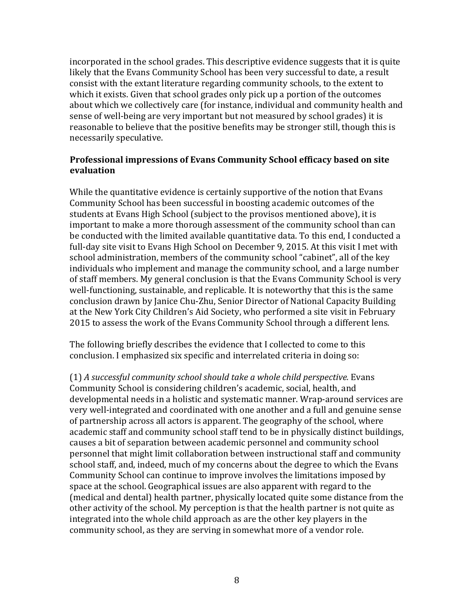incorporated in the school grades. This descriptive evidence suggests that it is quite likely that the Evans Community School has been very successful to date, a result consist with the extant literature regarding community schools, to the extent to which it exists. Given that school grades only pick up a portion of the outcomes about which we collectively care (for instance, individual and community health and sense of well-being are very important but not measured by school grades) it is reasonable to believe that the positive benefits may be stronger still, though this is necessarily speculative.

### **Professional impressions of Evans Community School efficacy based on site evaluation**

While the quantitative evidence is certainly supportive of the notion that Evans Community School has been successful in boosting academic outcomes of the students at Evans High School (subject to the provisos mentioned above), it is important to make a more thorough assessment of the community school than can be conducted with the limited available quantitative data. To this end, I conducted a full-day site visit to Evans High School on December 9, 2015. At this visit I met with school administration, members of the community school "cabinet", all of the key individuals who implement and manage the community school, and a large number of staff members. My general conclusion is that the Evans Community School is very well-functioning, sustainable, and replicable. It is noteworthy that this is the same conclusion drawn by Janice Chu-Zhu, Senior Director of National Capacity Building at the New York City Children's Aid Society, who performed a site visit in February 2015 to assess the work of the Evans Community School through a different lens.

The following briefly describes the evidence that I collected to come to this conclusion. I emphasized six specific and interrelated criteria in doing so:

(1) *A successful community school should take a whole child perspective.* Evans Community School is considering children's academic, social, health, and developmental needs in a holistic and systematic manner. Wrap-around services are very well-integrated and coordinated with one another and a full and genuine sense of partnership across all actors is apparent. The geography of the school, where academic staff and community school staff tend to be in physically distinct buildings, causes a bit of separation between academic personnel and community school personnel that might limit collaboration between instructional staff and community school staff, and, indeed, much of my concerns about the degree to which the Evans Community School can continue to improve involves the limitations imposed by space at the school. Geographical issues are also apparent with regard to the (medical and dental) health partner, physically located quite some distance from the other activity of the school. My perception is that the health partner is not quite as integrated into the whole child approach as are the other key players in the community school, as they are serving in somewhat more of a vendor role.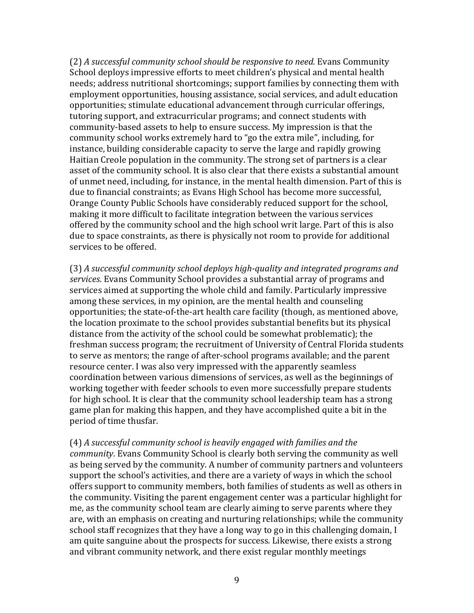(2) A successful community school should be responsive to need. Evans Community School deploys impressive efforts to meet children's physical and mental health needs; address nutritional shortcomings; support families by connecting them with employment opportunities, housing assistance, social services, and adult education opportunities; stimulate educational advancement through curricular offerings, tutoring support, and extracurricular programs; and connect students with community-based assets to help to ensure success. My impression is that the community school works extremely hard to "go the extra mile", including, for instance, building considerable capacity to serve the large and rapidly growing Haitian Creole population in the community. The strong set of partners is a clear asset of the community school. It is also clear that there exists a substantial amount of unmet need, including, for instance, in the mental health dimension. Part of this is due to financial constraints; as Evans High School has become more successful, Orange County Public Schools have considerably reduced support for the school, making it more difficult to facilitate integration between the various services offered by the community school and the high school writ large. Part of this is also due to space constraints, as there is physically not room to provide for additional services to be offered.

(3) A successful community school deploys high-quality and integrated programs and services. Evans Community School provides a substantial array of programs and services aimed at supporting the whole child and family. Particularly impressive among these services, in my opinion, are the mental health and counseling opportunities; the state-of-the-art health care facility (though, as mentioned above, the location proximate to the school provides substantial benefits but its physical distance from the activity of the school could be somewhat problematic); the freshman success program; the recruitment of University of Central Florida students to serve as mentors; the range of after-school programs available; and the parent resource center. I was also very impressed with the apparently seamless coordination between various dimensions of services, as well as the beginnings of working together with feeder schools to even more successfully prepare students for high school. It is clear that the community school leadership team has a strong game plan for making this happen, and they have accomplished quite a bit in the period of time thusfar.

(4) A successful community school is heavily engaged with families and the *community*. Evans Community School is clearly both serving the community as well as being served by the community. A number of community partners and volunteers support the school's activities, and there are a variety of ways in which the school offers support to community members, both families of students as well as others in the community. Visiting the parent engagement center was a particular highlight for me, as the community school team are clearly aiming to serve parents where they are, with an emphasis on creating and nurturing relationships; while the community school staff recognizes that they have a long way to go in this challenging domain,  $I$ am quite sanguine about the prospects for success. Likewise, there exists a strong and vibrant community network, and there exist regular monthly meetings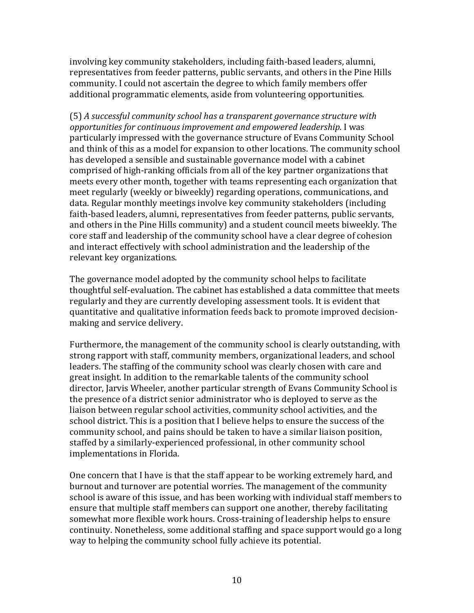involving key community stakeholders, including faith-based leaders, alumni, representatives from feeder patterns, public servants, and others in the Pine Hills community. I could not ascertain the degree to which family members offer additional programmatic elements, aside from volunteering opportunities.

(5) A successful community school has a transparent governance structure with *opportunities for continuous improvement and empowered leadership.* I was particularly impressed with the governance structure of Evans Community School and think of this as a model for expansion to other locations. The community school has developed a sensible and sustainable governance model with a cabinet comprised of high-ranking officials from all of the key partner organizations that meets every other month, together with teams representing each organization that meet regularly (weekly or biweekly) regarding operations, communications, and data. Regular monthly meetings involve key community stakeholders (including faith-based leaders, alumni, representatives from feeder patterns, public servants, and others in the Pine Hills community) and a student council meets biweekly. The core staff and leadership of the community school have a clear degree of cohesion and interact effectively with school administration and the leadership of the relevant key organizations.

The governance model adopted by the community school helps to facilitate thoughtful self-evaluation. The cabinet has established a data committee that meets regularly and they are currently developing assessment tools. It is evident that quantitative and qualitative information feeds back to promote improved decisionmaking and service delivery.

Furthermore, the management of the community school is clearly outstanding, with strong rapport with staff, community members, organizational leaders, and school leaders. The staffing of the community school was clearly chosen with care and great insight. In addition to the remarkable talents of the community school director, Jarvis Wheeler, another particular strength of Evans Community School is the presence of a district senior administrator who is deployed to serve as the liaison between regular school activities, community school activities, and the school district. This is a position that I believe helps to ensure the success of the community school, and pains should be taken to have a similar liaison position, staffed by a similarly-experienced professional, in other community school implementations in Florida.

One concern that I have is that the staff appear to be working extremely hard, and burnout and turnover are potential worries. The management of the community school is aware of this issue, and has been working with individual staff members to ensure that multiple staff members can support one another, thereby facilitating somewhat more flexible work hours. Cross-training of leadership helps to ensure continuity. Nonetheless, some additional staffing and space support would go a long way to helping the community school fully achieve its potential.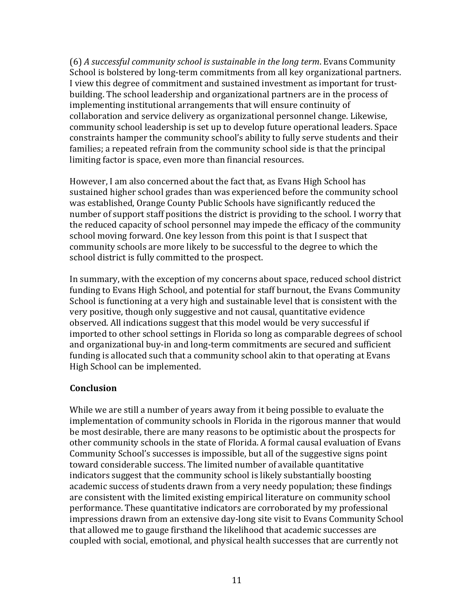(6) *A* successful community school is sustainable in the long term. Evans Community School is bolstered by long-term commitments from all key organizational partners. I view this degree of commitment and sustained investment as important for trustbuilding. The school leadership and organizational partners are in the process of implementing institutional arrangements that will ensure continuity of collaboration and service delivery as organizational personnel change. Likewise, community school leadership is set up to develop future operational leaders. Space constraints hamper the community school's ability to fully serve students and their families; a repeated refrain from the community school side is that the principal limiting factor is space, even more than financial resources.

However, I am also concerned about the fact that, as Evans High School has sustained higher school grades than was experienced before the community school was established, Orange County Public Schools have significantly reduced the number of support staff positions the district is providing to the school. I worry that the reduced capacity of school personnel may impede the efficacy of the community school moving forward. One key lesson from this point is that I suspect that community schools are more likely to be successful to the degree to which the school district is fully committed to the prospect.

In summary, with the exception of my concerns about space, reduced school district funding to Evans High School, and potential for staff burnout, the Evans Community School is functioning at a very high and sustainable level that is consistent with the very positive, though only suggestive and not causal, quantitative evidence observed. All indications suggest that this model would be very successful if imported to other school settings in Florida so long as comparable degrees of school and organizational buy-in and long-term commitments are secured and sufficient funding is allocated such that a community school akin to that operating at Evans High School can be implemented.

### **Conclusion**

While we are still a number of years away from it being possible to evaluate the implementation of community schools in Florida in the rigorous manner that would be most desirable, there are many reasons to be optimistic about the prospects for other community schools in the state of Florida. A formal causal evaluation of Evans Community School's successes is impossible, but all of the suggestive signs point toward considerable success. The limited number of available quantitative indicators suggest that the community school is likely substantially boosting academic success of students drawn from a very needy population; these findings are consistent with the limited existing empirical literature on community school performance. These quantitative indicators are corroborated by my professional impressions drawn from an extensive day-long site visit to Evans Community School that allowed me to gauge firsthand the likelihood that academic successes are coupled with social, emotional, and physical health successes that are currently not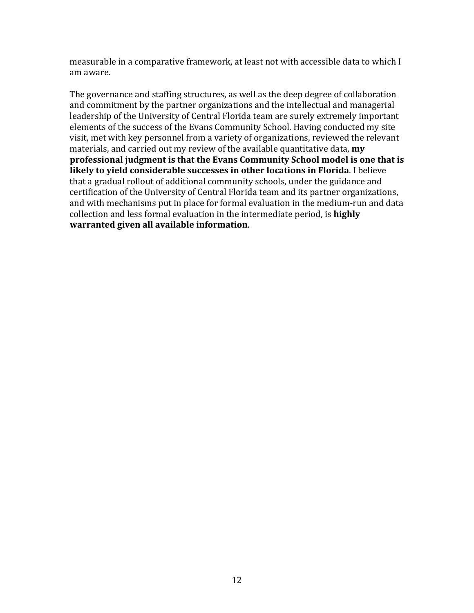measurable in a comparative framework, at least not with accessible data to which I am aware.

The governance and staffing structures, as well as the deep degree of collaboration and commitment by the partner organizations and the intellectual and managerial leadership of the University of Central Florida team are surely extremely important elements of the success of the Evans Community School. Having conducted my site visit, met with key personnel from a variety of organizations, reviewed the relevant materials, and carried out my review of the available quantitative data, **my professional judgment is that the Evans Community School model is one that is likely to yield considerable successes in other locations in Florida.** I believe that a gradual rollout of additional community schools, under the guidance and certification of the University of Central Florida team and its partner organizations, and with mechanisms put in place for formal evaluation in the medium-run and data collection and less formal evaluation in the intermediate period, is **highly warranted given all available information.**